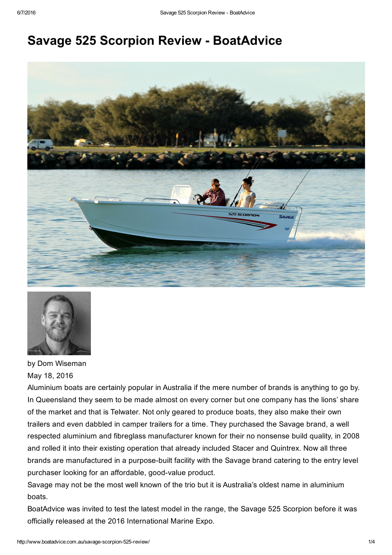# **Savage 525 Scorpion Review - BoatAdvice**





by Dom Wiseman May 18, 2016

Aluminium boats are certainly popular in Australia if the mere number of brands is anything to go by. In Queensland they seem to be made almost on every corner but one company has the lions' share of the market and that is Telwater. Not only geared to produce boats, they also make their own trailers and even dabbled in camper trailers for a time. They purchased the Savage brand, a well respected aluminium and fibreglass manufacturer known for their no nonsense build quality, in 2008 and rolled it into their existing operation that already included Stacer and Quintrex. Now all three brands are manufactured in a purpose-built facility with the Savage brand catering to the entry level purchaser looking for an affordable, good-value product.

Savage may not be the most well known of the trio but it is Australia's oldest name in aluminium boats.

BoatAdvice was invited to test the latest model in the range, the Savage 525 Scorpion before it was officially released at the 2016 International Marine Expo.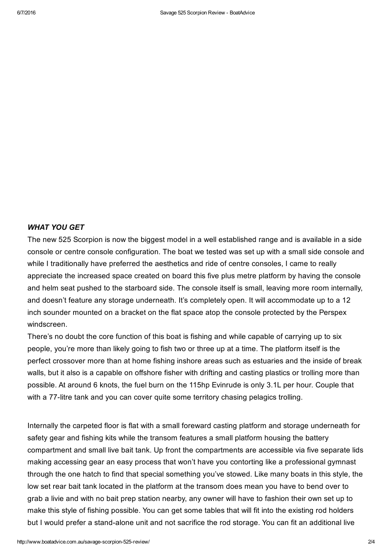#### *WHAT YOU GET*

The new 525 Scorpion is now the biggest model in a well established range and is available in a side console or centre console configuration. The boat we tested was set up with a small side console and while I traditionally have preferred the aesthetics and ride of centre consoles, I came to really appreciate the increased space created on board this five plus metre platform by having the console and helm seat pushed to the starboard side. The console itself is small, leaving more room internally, and doesn't feature any storage underneath. It's completely open. It will accommodate up to a 12 inch sounder mounted on a bracket on the flat space atop the console protected by the Perspex windscreen.

There's no doubt the core function of this boat is fishing and while capable of carrying up to six people, you're more than likely going to fish two or three up at a time. The platform itself is the perfect crossover more than at home fishing inshore areas such as estuaries and the inside of break walls, but it also is a capable on offshore fisher with drifting and casting plastics or trolling more than possible. At around 6 knots, the fuel burn on the 115hp Evinrude is only 3.1L per hour. Couple that with a 77-litre tank and you can cover quite some territory chasing pelagics trolling.

Internally the carpeted floor is flat with a small foreward casting platform and storage underneath for safety gear and fishing kits while the transom features a small platform housing the battery compartment and small live bait tank. Up front the compartments are accessible via five separate lids making accessing gear an easy process that won't have you contorting like a professional gymnast through the one hatch to find that special something you've stowed. Like many boats in this style, the low set rear bait tank located in the platform at the transom does mean you have to bend over to grab a livie and with no bait prep station nearby, any owner will have to fashion their own set up to make this style of fishing possible. You can get some tables that will fit into the existing rod holders but I would prefer a stand-alone unit and not sacrifice the rod storage. You can fit an additional live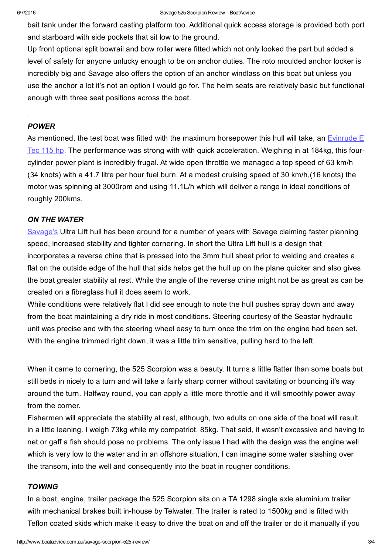bait tank under the forward casting platform too. Additional quick access storage is provided both port and starboard with side pockets that sit low to the ground.

Up front optional split bowrail and bow roller were fitted which not only looked the part but added a level of safety for anyone unlucky enough to be on anchor duties. The roto moulded anchor locker is incredibly big and Savage also offers the option of an anchor windlass on this boat but unless you use the anchor a lot it's not an option I would go for. The helm seats are relatively basic but functional enough with three seat positions across the boat.

#### *POWER*

As mentioned, the test boat was fitted with the maximum horsepower this hull will take, an Evinrude  $E$ Tec 115 hp. The performance was strong with with quick [acceleration.](http://www.evinrude.com/en-au/engines/etec_v4/etec_115_v4) Weighing in at 184kg, this fourcylinder power plant is incredibly frugal. At wide open throttle we managed a top speed of 63 km/h (34 knots) with a 41.7 litre per hour fuel burn. At a modest cruising speed of 30 km/h,(16 knots) the motor was spinning at 3000rpm and using 11.1L/h which will deliver a range in ideal conditions of roughly 200kms.

# *ON THE WATER*

[Savage's](http://www.boatadvice.com.au/savage-releases-brand-new-cabin-model-575-blue-water/) Ultra Lift hull has been around for a number of years with Savage claiming faster planning speed, increased stability and tighter cornering. In short the Ultra Lift hull is a design that incorporates a reverse chine that is pressed into the 3mm hull sheet prior to welding and creates a flat on the outside edge of the hull that aids helps get the hull up on the plane quicker and also gives the boat greater stability at rest. While the angle of the reverse chine might not be as great as can be created on a fibreglass hull it does seem to work.

While conditions were relatively flat I did see enough to note the hull pushes spray down and away from the boat maintaining a dry ride in most conditions. Steering courtesy of the Seastar hydraulic unit was precise and with the steering wheel easy to turn once the trim on the engine had been set. With the engine trimmed right down, it was a little trim sensitive, pulling hard to the left.

When it came to cornering, the 525 Scorpion was a beauty. It turns a little flatter than some boats but still beds in nicely to a turn and will take a fairly sharp corner without cavitating or bouncing it's way around the turn. Halfway round, you can apply a little more throttle and it will smoothly power away from the corner.

Fishermen will appreciate the stability at rest, although, two adults on one side of the boat will result in a little leaning. I weigh 73kg while my compatriot, 85kg. That said, it wasn't excessive and having to net or gaff a fish should pose no problems. The only issue I had with the design was the engine well which is very low to the water and in an offshore situation, I can imagine some water slashing over the transom, into the well and consequently into the boat in rougher conditions.

#### *TOWING*

In a boat, engine, trailer package the 525 Scorpion sits on a TA 1298 single axle aluminium trailer with mechanical brakes built in-house by Telwater. The trailer is rated to 1500kg and is fitted with Teflon coated skids which make it easy to drive the boat on and off the trailer or do it manually if you